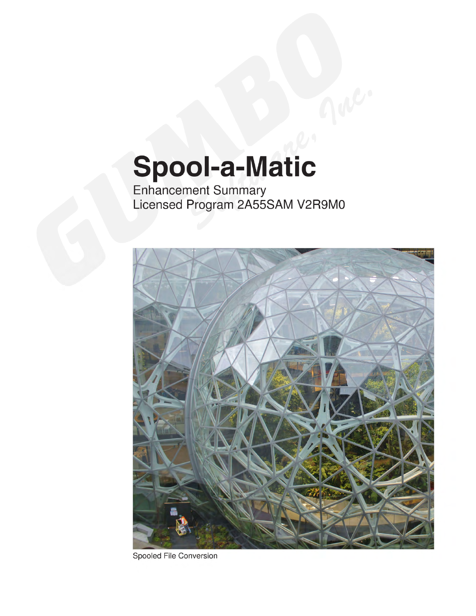# Spool-a-Matic

Enhancement Summary<br>Licensed Program 2A55SAM V2R9M0



Spooled File Conversion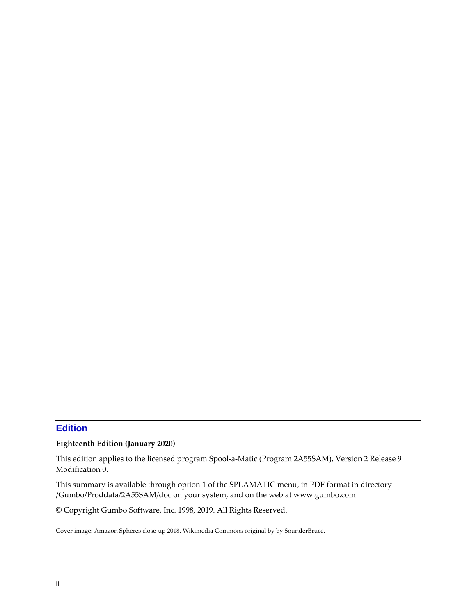# <span id="page-1-0"></span>**Edition**

#### **Eighteenth Edition (January 2020)**

This edition applies to the licensed program Spool‐a‐Matic (Program 2A55SAM), Version 2 Release 9 Modification 0.

This summary is available through option 1 of the SPLAMATIC menu, in PDF format in directory /Gumbo/Proddata/2A55SAM/doc on your system, and on the web at www.gumbo.com

© Copyright Gumbo Software, Inc. 1998, 2019. All Rights Reserved.

Cover image: Amazon Spheres close‐up 2018. Wikimedia Commons original by by SounderBruce.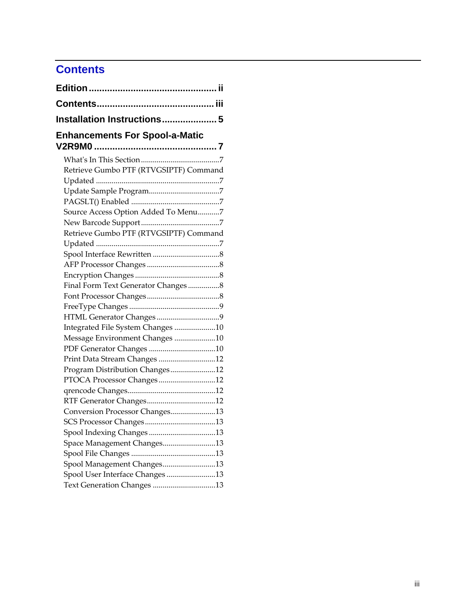# <span id="page-2-0"></span>**Contents**

| Installation Instructions 5            |  |
|----------------------------------------|--|
| <b>Enhancements For Spool-a-Matic</b>  |  |
|                                        |  |
|                                        |  |
| Retrieve Gumbo PTF (RTVGSIPTF) Command |  |
|                                        |  |
|                                        |  |
|                                        |  |
| Source Access Option Added To Menu7    |  |
|                                        |  |
| Retrieve Gumbo PTF (RTVGSIPTF) Command |  |
|                                        |  |
|                                        |  |
|                                        |  |
|                                        |  |
| Final Form Text Generator Changes8     |  |
|                                        |  |
|                                        |  |
| Integrated File System Changes 10      |  |
| Message Environment Changes 10         |  |
|                                        |  |
| Print Data Stream Changes 12           |  |
| Program Distribution Changes12         |  |
| PTOCA Processor Changes12              |  |
|                                        |  |
|                                        |  |
| Conversion Processor Changes13         |  |
|                                        |  |
| Spool Indexing Changes13               |  |
| Space Management Changes13             |  |
|                                        |  |
| Spool Management Changes13             |  |
| Spool User Interface Changes13         |  |
| Text Generation Changes 13             |  |
|                                        |  |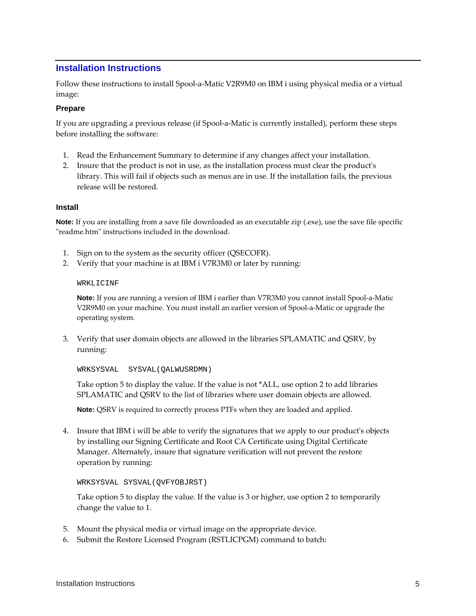# <span id="page-4-0"></span>**Installation Instructions**

Follow these instructions to install Spool‐a‐Matic V2R9M0 on IBM i using physical media or a virtual image:

#### **Prepare**

If you are upgrading a previous release (if Spool-a-Matic is currently installed), perform these steps before installing the software:

- 1. Read the Enhancement Summary to determine if any changes affect your installation.
- 2. Insure that the product is not in use, as the installation process must clear the product's library. This will fail if objects such as menus are in use. If the installation fails, the previous release will be restored.

#### **Install**

**Note:** If you are installing from a save file downloaded as an executable zip (.exe), use the save file specific "readme.htm" instructions included in the download.

- 1. Sign on to the system as the security officer (QSECOFR).
- 2. Verify that your machine is at IBM i V7R3M0 or later by running:

#### WRKLICINF

**Note:** If you are running a version of IBM i earlier than V7R3M0 you cannot install Spool‐a‐Matic V2R9M0 on your machine. You must install an earlier version of Spool-a-Matic or upgrade the operating system.

3. Verify that user domain objects are allowed in the libraries SPLAMATIC and QSRV, by running:

WRKSYSVAL SYSVAL(QALWUSRDMN)

Take option 5 to display the value. If the value is not \*ALL, use option 2 to add libraries SPLAMATIC and QSRV to the list of libraries where user domain objects are allowed.

**Note:** QSRV is required to correctly process PTFs when they are loaded and applied.

4. Insure that IBM i will be able to verify the signatures that we apply to our product's objects by installing our Signing Certificate and Root CA Certificate using Digital Certificate Manager. Alternately, insure that signature verification will not prevent the restore operation by running:

#### WRKSYSVAL SYSVAL(QVFYOBJRST)

Take option 5 to display the value. If the value is 3 or higher, use option 2 to temporarily change the value to 1.

- 5. Mount the physical media or virtual image on the appropriate device.
- 6. Submit the Restore Licensed Program (RSTLICPGM) command to batch: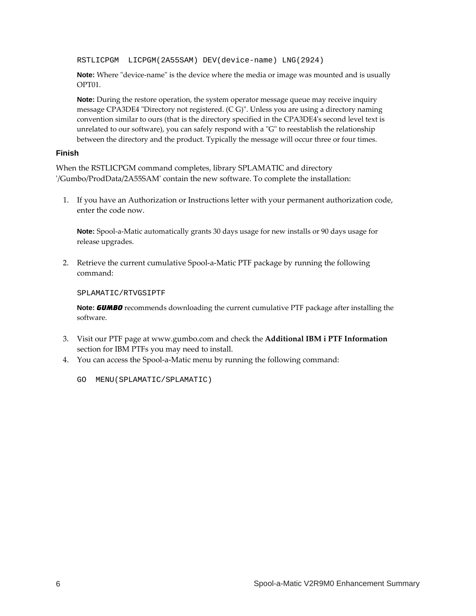RSTLICPGM LICPGM(2A55SAM) DEV(device-name) LNG(2924)

**Note:** Where "device-name" is the device where the media or image was mounted and is usually OPT01.

**Note:** During the restore operation, the system operator message queue may receive inquiry message CPA3DE4 "Directory not registered. (C G)". Unless you are using a directory naming convention similar to ours (that is the directory specified in the CPA3DE4ʹs second level text is unrelated to our software), you can safely respond with a "G" to reestablish the relationship between the directory and the product. Typically the message will occur three or four times.

#### **Finish**

When the RSTLICPGM command completes, library SPLAMATIC and directory ʹ/Gumbo/ProdData/2A55SAMʹ contain the new software. To complete the installation:

1. If you have an Authorization or Instructions letter with your permanent authorization code, enter the code now.

**Note:** Spool-a-Matic automatically grants 30 days usage for new installs or 90 days usage for release upgrades.

2. Retrieve the current cumulative Spool-a-Matic PTF package by running the following command:

SPLAMATIC/RTVGSIPTF

**Note:** *GUMBO* recommends downloading the current cumulative PTF package after installing the software.

- 3. Visit our PTF page at www.gumbo.com and check the **Additional IBM i PTF Information** section for IBM PTFs you may need to install.
- 4. You can access the Spool‐a‐Matic menu by running the following command:
	- GO MENU(SPLAMATIC/SPLAMATIC)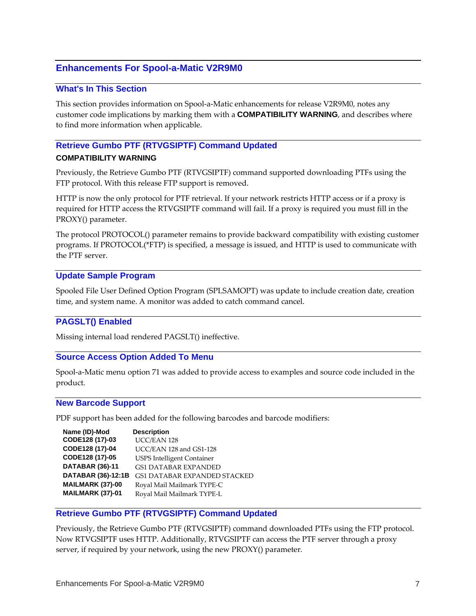# <span id="page-6-0"></span>**Enhancements For Spool-a-Matic V2R9M0**

#### <span id="page-6-1"></span>**What's In This Section**

This section provides information on Spool‐a‐Matic enhancements for release V2R9M0, notes any customer code implications by marking them with a **COMPATIBILITY WARNING**, and describes where to find more information when applicable.

# <span id="page-6-2"></span>**Retrieve Gumbo PTF (RTVGSIPTF) Command Updated COMPATIBILITY WARNING**

Previously, the Retrieve Gumbo PTF (RTVGSIPTF) command supported downloading PTFs using the FTP protocol. With this release FTP support is removed.

HTTP is now the only protocol for PTF retrieval. If your network restricts HTTP access or if a proxy is required for HTTP access the RTVGSIPTF command will fail. If a proxy is required you must fill in the PROXY() parameter.

The protocol PROTOCOL() parameter remains to provide backward compatibility with existing customer programs. If PROTOCOL(\*FTP) is specified, a message is issued, and HTTP is used to communicate with the PTF server.

#### <span id="page-6-3"></span>**Update Sample Program**

Spooled File User Defined Option Program (SPLSAMOPT) was update to include creation date, creation time, and system name. A monitor was added to catch command cancel.

# <span id="page-6-4"></span>**PAGSLT() Enabled**

Missing internal load rendered PAGSLT() ineffective.

#### <span id="page-6-5"></span>**Source Access Option Added To Menu**

Spool-a-Matic menu option 71 was added to provide access to examples and source code included in the product.

#### <span id="page-6-6"></span>**New Barcode Support**

PDF support has been added for the following barcodes and barcode modifiers:

| Name (ID)-Mod      | <b>Description</b>                  |
|--------------------|-------------------------------------|
| CODE128 (17)-03    | UCC/EAN 128                         |
| CODE128 (17)-04    | UCC/EAN 128 and GS1-128             |
| CODE128 (17)-05    | <b>USPS Intelligent Container</b>   |
| DATABAR (36)-11    | <b>GS1 DATABAR EXPANDED</b>         |
| DATABAR (36)-12:1B | <b>GS1 DATABAR EXPANDED STACKED</b> |
| MAILMARK (37)-00   | Royal Mail Mailmark TYPE-C          |
| MAILMARK (37)-01   | Royal Mail Mailmark TYPE-L          |

#### <span id="page-6-7"></span>**Retrieve Gumbo PTF (RTVGSIPTF) Command Updated**

Previously, the Retrieve Gumbo PTF (RTVGSIPTF) command downloaded PTFs using the FTP protocol. Now RTVGSIPTF uses HTTP. Additionally, RTVGSIPTF can access the PTF server through a proxy server, if required by your network, using the new PROXY() parameter.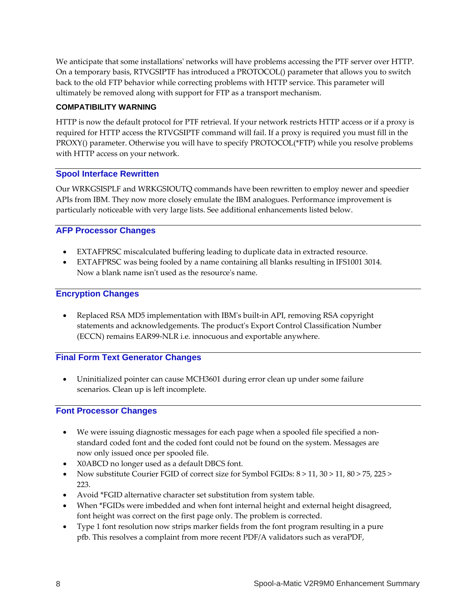We anticipate that some installations' networks will have problems accessing the PTF server over HTTP. On a temporary basis, RTVGSIPTF has introduced a PROTOCOL() parameter that allows you to switch back to the old FTP behavior while correcting problems with HTTP service. This parameter will ultimately be removed along with support for FTP as a transport mechanism.

## **COMPATIBILITY WARNING**

HTTP is now the default protocol for PTF retrieval. If your network restricts HTTP access or if a proxy is required for HTTP access the RTVGSIPTF command will fail. If a proxy is required you must fill in the PROXY() parameter. Otherwise you will have to specify PROTOCOL(\*FTP) while you resolve problems with HTTP access on your network.

# <span id="page-7-0"></span>**Spool Interface Rewritten**

Our WRKGSISPLF and WRKGSIOUTQ commands have been rewritten to employ newer and speedier APIs from IBM. They now more closely emulate the IBM analogues. Performance improvement is particularly noticeable with very large lists. See additional enhancements listed below.

# <span id="page-7-1"></span>**AFP Processor Changes**

- EXTAFPRSC miscalculated buffering leading to duplicate data in extracted resource.
- EXTAFPRSC was being fooled by a name containing all blanks resulting in IFS1001 3014. Now a blank name isn't used as the resource's name.

# <span id="page-7-2"></span>**Encryption Changes**

 Replaced RSA MD5 implementation with IBMʹs built‐in API, removing RSA copyright statements and acknowledgements. The productʹs Export Control Classification Number (ECCN) remains EAR99‐NLR i.e. innocuous and exportable anywhere.

# <span id="page-7-3"></span>**Final Form Text Generator Changes**

 Uninitialized pointer can cause MCH3601 during error clean up under some failure scenarios. Clean up is left incomplete.

# <span id="page-7-4"></span>**Font Processor Changes**

- We were issuing diagnostic messages for each page when a spooled file specified a non‐ standard coded font and the coded font could not be found on the system. Messages are now only issued once per spooled file.
- X0ABCD no longer used as a default DBCS font.
- Now substitute Courier FGID of correct size for Symbol FGIDs: 8 > 11, 30 > 11, 80 > 75, 225 > 223.
- Avoid \*FGID alternative character set substitution from system table.
- When \*FGIDs were imbedded and when font internal height and external height disagreed, font height was correct on the first page only. The problem is corrected.
- Type 1 font resolution now strips marker fields from the font program resulting in a pure pfb. This resolves a complaint from more recent PDF/A validators such as veraPDF,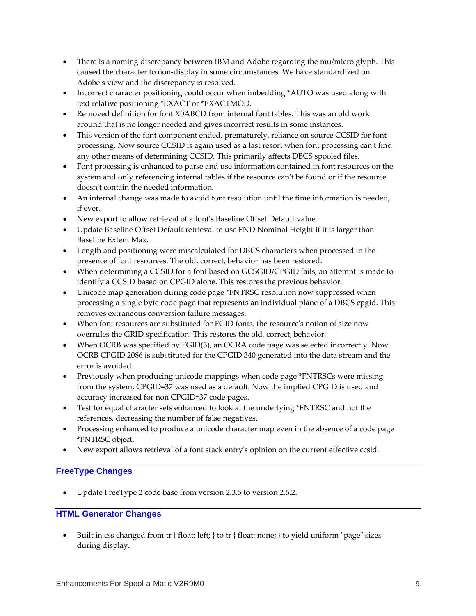- There is a naming discrepancy between IBM and Adobe regarding the mu/micro glyph. This caused the character to non‐display in some circumstances. We have standardized on Adobe's view and the discrepancy is resolved.
- Incorrect character positioning could occur when imbedding \*AUTO was used along with text relative positioning \*EXACT or \*EXACTMOD.
- Removed definition for font X0ABCD from internal font tables. This was an old work around that is no longer needed and gives incorrect results in some instances.
- This version of the font component ended, prematurely, reliance on source CCSID for font processing. Now source CCSID is again used as a last resort when font processing can't find any other means of determining CCSID. This primarily affects DBCS spooled files.
- Font processing is enhanced to parse and use information contained in font resources on the system and only referencing internal tables if the resource can't be found or if the resource doesn't contain the needed information.
- An internal change was made to avoid font resolution until the time information is needed, if ever.
- New export to allow retrieval of a font's Baseline Offset Default value.
- Update Baseline Offset Default retrieval to use FND Nominal Height if it is larger than Baseline Extent Max.
- Length and positioning were miscalculated for DBCS characters when processed in the presence of font resources. The old, correct, behavior has been restored.
- When determining a CCSID for a font based on GCSGID/CPGID fails, an attempt is made to identify a CCSID based on CPGID alone. This restores the previous behavior.
- Unicode map generation during code page \*FNTRSC resolution now suppressed when processing a single byte code page that represents an individual plane of a DBCS cpgid. This removes extraneous conversion failure messages.
- When font resources are substituted for FGID fonts, the resource's notion of size now overrules the GRID specification. This restores the old, correct, behavior.
- When OCRB was specified by FGID(3), an OCRA code page was selected incorrectly. Now OCRB CPGID 2086 is substituted for the CPGID 340 generated into the data stream and the error is avoided.
- Previously when producing unicode mappings when code page \*FNTRSCs were missing from the system, CPGID=37 was used as a default. Now the implied CPGID is used and accuracy increased for non CPGID=37 code pages.
- Test for equal character sets enhanced to look at the underlying \*FNTRSC and not the references, decreasing the number of false negatives.
- Processing enhanced to produce a unicode character map even in the absence of a code page \*FNTRSC object.
- New export allows retrieval of a font stack entryʹs opinion on the current effective ccsid.

# <span id="page-8-0"></span>**FreeType Changes**

Update FreeType 2 code base from version 2.3.5 to version 2.6.2.

# <span id="page-8-1"></span>**HTML Generator Changes**

 $\bullet$  Built in css changed from tr { float: left; } to tr { float: none; } to yield uniform "page" sizes during display.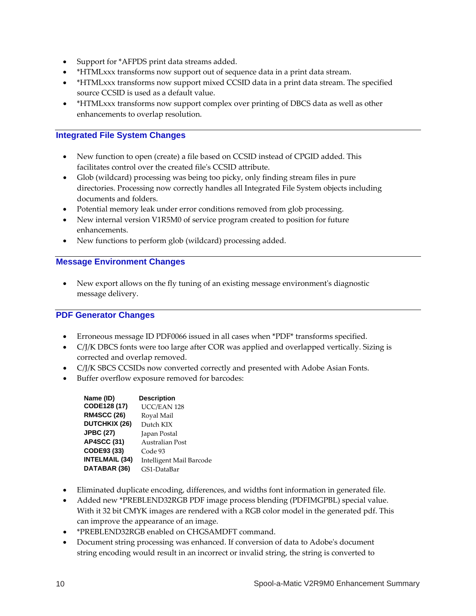- Support for \*AFPDS print data streams added.
- \*HTMLxxx transforms now support out of sequence data in a print data stream.
- \*HTMLxxx transforms now support mixed CCSID data in a print data stream. The specified source CCSID is used as a default value.
- \*HTMLxxx transforms now support complex over printing of DBCS data as well as other enhancements to overlap resolution.

# <span id="page-9-0"></span>**Integrated File System Changes**

- New function to open (create) a file based on CCSID instead of CPGID added. This facilitates control over the created fileʹs CCSID attribute.
- Glob (wildcard) processing was being too picky, only finding stream files in pure directories. Processing now correctly handles all Integrated File System objects including documents and folders.
- Potential memory leak under error conditions removed from glob processing.
- New internal version V1R5M0 of service program created to position for future enhancements.
- New functions to perform glob (wildcard) processing added.

#### <span id="page-9-1"></span>**Message Environment Changes**

 New export allows on the fly tuning of an existing message environmentʹs diagnostic message delivery.

# <span id="page-9-2"></span>**PDF Generator Changes**

- Erroneous message ID PDF0066 issued in all cases when \*PDF\* transforms specified.
- C/J/K DBCS fonts were too large after COR was applied and overlapped vertically. Sizing is corrected and overlap removed.
- C/J/K SBCS CCSIDs now converted correctly and presented with Adobe Asian Fonts.
- Buffer overflow exposure removed for barcodes:

| Name (ID)             | <b>Description</b>       |
|-----------------------|--------------------------|
| CODE128 (17)          | UCC/EAN 128              |
| <b>RM4SCC (26)</b>    | Royal Mail               |
| <b>DUTCHKIX (26)</b>  | Dutch KIX                |
| <b>JPBC (27)</b>      | Japan Postal             |
| <b>AP4SCC (31)</b>    | Australian Post          |
| CODE93 (33)           | Code 93                  |
| <b>INTELMAIL (34)</b> | Intelligent Mail Barcode |
| DATABAR (36)          | GS1-DataBar              |

- Eliminated duplicate encoding, differences, and widths font information in generated file.
- Added new \*PREBLEND32RGB PDF image process blending (PDFIMGPBL) special value. With it 32 bit CMYK images are rendered with a RGB color model in the generated pdf. This can improve the appearance of an image.
- \*PREBLEND32RGB enabled on CHGSAMDFT command.
- Document string processing was enhanced. If conversion of data to Adobe's document string encoding would result in an incorrect or invalid string, the string is converted to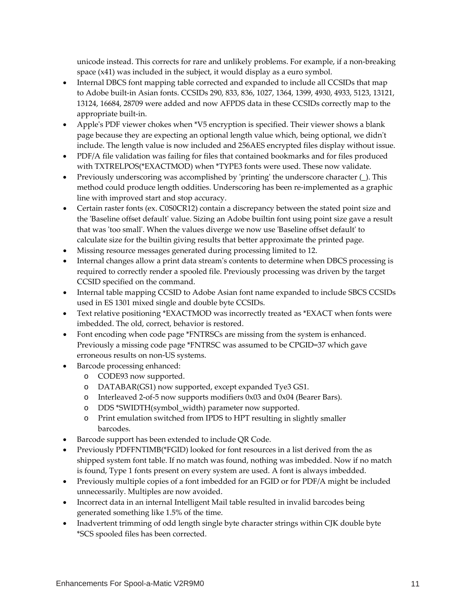unicode instead. This corrects for rare and unlikely problems. For example, if a non-breaking space (x41) was included in the subject, it would display as a euro symbol.

- Internal DBCS font mapping table corrected and expanded to include all CCSIDs that map to Adobe built‐in Asian fonts. CCSIDs 290, 833, 836, 1027, 1364, 1399, 4930, 4933, 5123, 13121, 13124, 16684, 28709 were added and now AFPDS data in these CCSIDs correctly map to the appropriate built‐in.
- Appleʹs PDF viewer chokes when \*V5 encryption is specified. Their viewer shows a blank page because they are expecting an optional length value which, being optional, we didn't include. The length value is now included and 256AES encrypted files display without issue.
- PDF/A file validation was failing for files that contained bookmarks and for files produced with TXTRELPOS(\*EXACTMOD) when \*TYPE3 fonts were used. These now validate.
- Previously underscoring was accomplished by 'printing' the underscore character (\_). This method could produce length oddities. Underscoring has been re-implemented as a graphic line with improved start and stop accuracy.
- Certain raster fonts (ex. C0S0CR12) contain a discrepancy between the stated point size and the ʹBaseline offset defaultʹ value. Sizing an Adobe builtin font using point size gave a result that was 'too small'. When the values diverge we now use 'Baseline offset default' to calculate size for the builtin giving results that better approximate the printed page.
- Missing resource messages generated during processing limited to 12.
- Internal changes allow a print data streamʹs contents to determine when DBCS processing is required to correctly render a spooled file. Previously processing was driven by the target CCSID specified on the command.
- Internal table mapping CCSID to Adobe Asian font name expanded to include SBCS CCSIDs used in ES 1301 mixed single and double byte CCSIDs.
- Text relative positioning \*EXACTMOD was incorrectly treated as \*EXACT when fonts were imbedded. The old, correct, behavior is restored.
- Font encoding when code page \*FNTRSCs are missing from the system is enhanced. Previously a missing code page \*FNTRSC was assumed to be CPGID=37 which gave erroneous results on non‐US systems.
- Barcode processing enhanced:
	- o CODE93 now supported.
	- o DATABAR(GS1) now supported, except expanded Tye3 GS1.
	- o Interleaved 2‐of‐5 now supports modifiers 0x03 and 0x04 (Bearer Bars).
	- o DDS \*SWIDTH(symbol\_width) parameter now supported.
	- o Print emulation switched from IPDS to HPT resulting in slightly smaller barcodes.
- Barcode support has been extended to include QR Code.
- Previously PDFFNTIMB(\*FGID) looked for font resources in a list derived from the as shipped system font table. If no match was found, nothing was imbedded. Now if no match is found, Type 1 fonts present on every system are used. A font is always imbedded.
- Previously multiple copies of a font imbedded for an FGID or for PDF/A might be included unnecessarily. Multiples are now avoided.
- Incorrect data in an internal Intelligent Mail table resulted in invalid barcodes being generated something like 1.5% of the time.
- Inadvertent trimming of odd length single byte character strings within CJK double byte \*SCS spooled files has been corrected.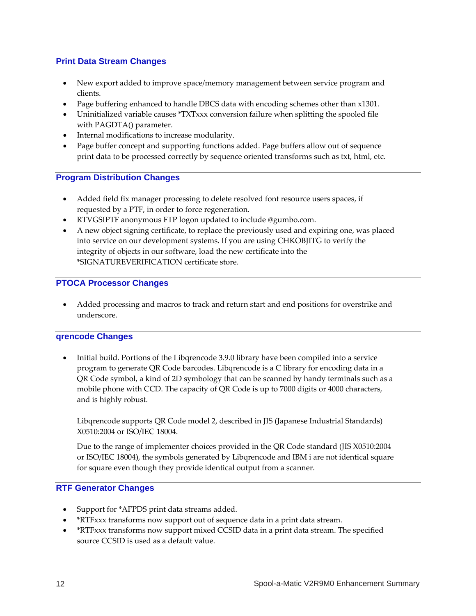## <span id="page-11-0"></span>**Print Data Stream Changes**

- New export added to improve space/memory management between service program and clients.
- Page buffering enhanced to handle DBCS data with encoding schemes other than x1301.
- Uninitialized variable causes \*TXTxxx conversion failure when splitting the spooled file with PAGDTA() parameter.
- Internal modifications to increase modularity.
- Page buffer concept and supporting functions added. Page buffers allow out of sequence print data to be processed correctly by sequence oriented transforms such as txt, html, etc.

# <span id="page-11-1"></span>**Program Distribution Changes**

- Added field fix manager processing to delete resolved font resource users spaces, if requested by a PTF, in order to force regeneration.
- RTVGSIPTF anonymous FTP logon updated to include @gumbo.com.
- A new object signing certificate, to replace the previously used and expiring one, was placed into service on our development systems. If you are using CHKOBJITG to verify the integrity of objects in our software, load the new certificate into the \*SIGNATUREVERIFICATION certificate store.

# <span id="page-11-2"></span>**PTOCA Processor Changes**

 Added processing and macros to track and return start and end positions for overstrike and underscore.

#### <span id="page-11-3"></span>**qrencode Changes**

 Initial build. Portions of the Libqrencode 3.9.0 library have been compiled into a service program to generate QR Code barcodes. Libqrencode is a C library for encoding data in a QR Code symbol, a kind of 2D symbology that can be scanned by handy terminals such as a mobile phone with CCD. The capacity of QR Code is up to 7000 digits or 4000 characters, and is highly robust.

Libqrencode supports QR Code model 2, described in JIS (Japanese Industrial Standards) X0510:2004 or ISO/IEC 18004.

Due to the range of implementer choices provided in the QR Code standard (JIS X0510:2004 or ISO/IEC 18004), the symbols generated by Libqrencode and IBM i are not identical square for square even though they provide identical output from a scanner.

### <span id="page-11-4"></span>**RTF Generator Changes**

- Support for \*AFPDS print data streams added.
- \*RTFxxx transforms now support out of sequence data in a print data stream.
- \*RTFxxx transforms now support mixed CCSID data in a print data stream. The specified source CCSID is used as a default value.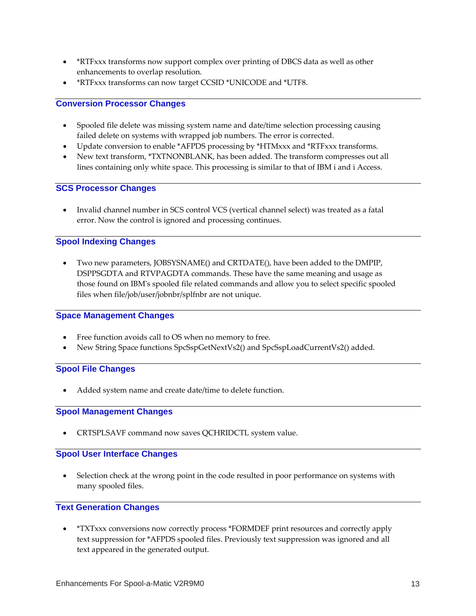- \*RTFxxx transforms now support complex over printing of DBCS data as well as other enhancements to overlap resolution.
- \*RTFxxx transforms can now target CCSID \*UNICODE and \*UTF8.

#### <span id="page-12-0"></span>**Conversion Processor Changes**

- Spooled file delete was missing system name and date/time selection processing causing failed delete on systems with wrapped job numbers. The error is corrected.
- Update conversion to enable \*AFPDS processing by \*HTMxxx and \*RTFxxx transforms.
- New text transform, \*TXTNONBLANK, has been added. The transform compresses out all lines containing only white space. This processing is similar to that of IBM i and i Access.

#### <span id="page-12-1"></span>**SCS Processor Changes**

 Invalid channel number in SCS control VCS (vertical channel select) was treated as a fatal error. Now the control is ignored and processing continues.

# <span id="page-12-2"></span>**Spool Indexing Changes**

 Two new parameters, JOBSYSNAME() and CRTDATE(), have been added to the DMPIP, DSPPSGDTA and RTVPAGDTA commands. These have the same meaning and usage as those found on IBMʹs spooled file related commands and allow you to select specific spooled files when file/job/user/jobnbr/splfnbr are not unique.

#### <span id="page-12-3"></span>**Space Management Changes**

- Free function avoids call to OS when no memory to free.
- New String Space functions SpcSspGetNextVs2() and SpcSspLoadCurrentVs2() added.

#### <span id="page-12-4"></span>**Spool File Changes**

Added system name and create date/time to delete function.

#### <span id="page-12-5"></span>**Spool Management Changes**

CRTSPLSAVF command now saves QCHRIDCTL system value.

## <span id="page-12-6"></span>**Spool User Interface Changes**

 Selection check at the wrong point in the code resulted in poor performance on systems with many spooled files.

### <span id="page-12-7"></span>**Text Generation Changes**

 \*TXTxxx conversions now correctly process \*FORMDEF print resources and correctly apply text suppression for \*AFPDS spooled files. Previously text suppression was ignored and all text appeared in the generated output.